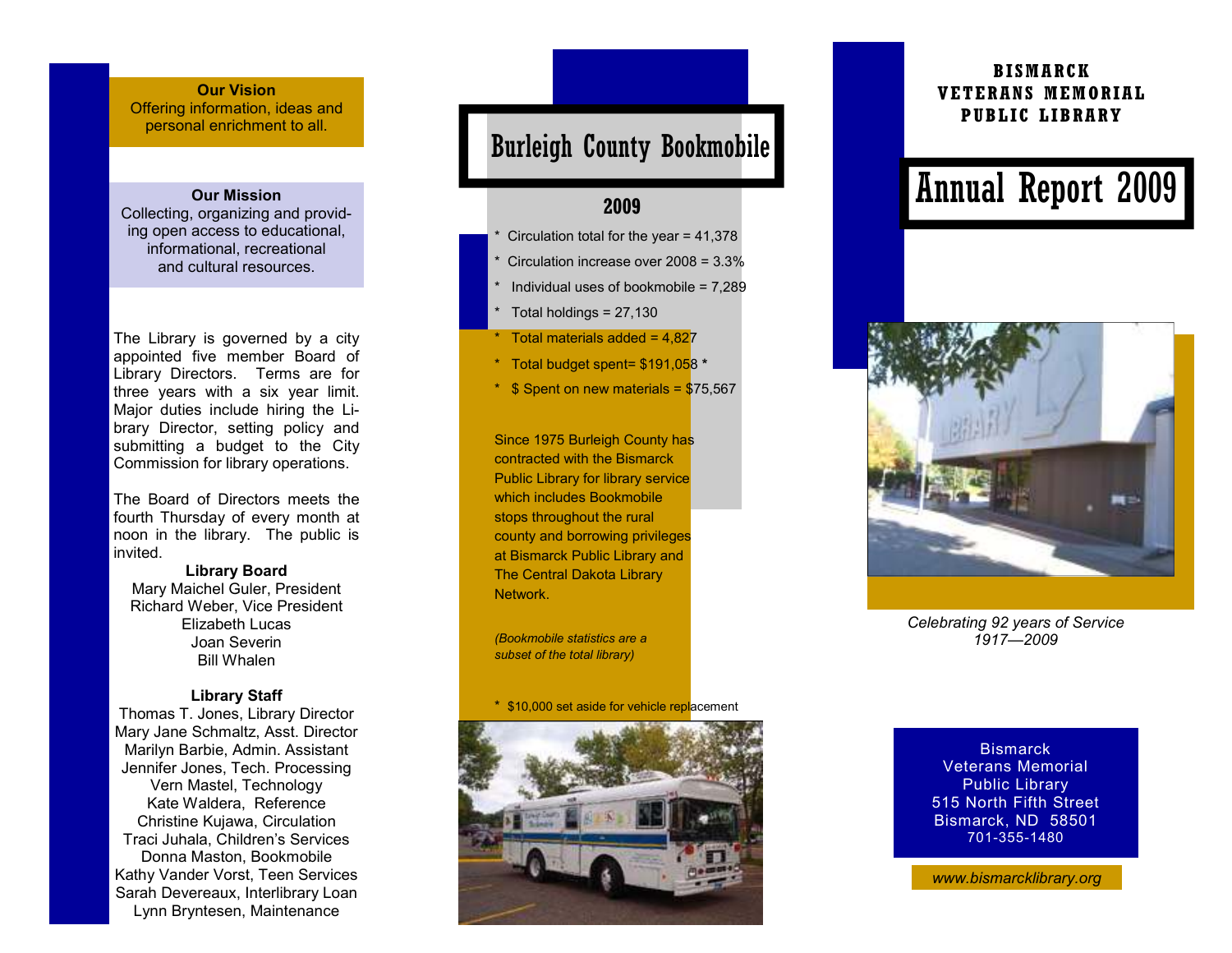#### Our Vision

 Offering information, ideas and personal enrichment to all.

#### Our Mission

 Collecting, organizing and providing open access to educational, informational, recreational and cultural resources.

The Library is governed by a city appointed five member Board of Library Directors. Terms are for three years with a six year limit. Major duties include hiring the Library Director, setting policy and submitting a budget to the City Commission for library operations.

The Board of Directors meets the fourth Thursday of every month at noon in the library. The public is invited.

Library Board Mary Maichel Guler, President Richard Weber, Vice President Elizabeth Lucas Joan Severin Bill Whalen

#### Library Staff

 Thomas T. Jones, Library Director Mary Jane Schmaltz, Asst. Director Marilyn Barbie, Admin. Assistant Jennifer Jones, Tech. Processing Vern Mastel, Technology Kate Waldera, Reference Christine Kujawa, Circulation Traci Juhala, Children's Services Donna Maston, Bookmobile Kathy Vander Vorst, Teen Services Sarah Devereaux, Interlibrary Loan Lynn Bryntesen, Maintenance

### Burleigh County Bookmobile

#### 2009

- Circulation total for the year =  $41,378$
- Circulation increase over 2008 = 3.3%
- Individual uses of bookmobile =  $7.289$
- Total holdings  $= 27,130$
- Total materials added =  $4.827$
- \* Total budget spent= \$191,058 \*
- $*$  \$ Spent on new materials = \$75,567

Since 1975 Burleigh County has contracted with the Bismarck Public Library for library service which includes Bookmobile stops throughout the rural county and borrowing privileges at Bismarck Public Library and The Central Dakota Library Network.

(Bookmobile statistics are a subset of the total library)

\* \$10,000 set aside for vehicle replacement



#### BISMARCK VETERANS MEMORIAL PUBLIC LIBRARY

# Annual Report 2009



Celebrating 92 years of Service 1917—2009

**Bismarck**  Veterans Memorial Public Library 515 North Fifth Street Bismarck, ND 58501 701-355-1480

www.bismarcklibrary.org